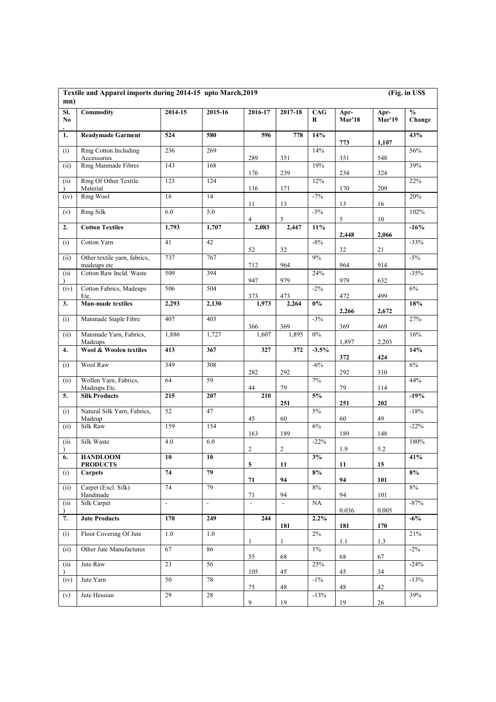| mn)       | Textile and Apparel imports during 2014-15 upto March, 2019 |                          |          |                         |               |          |                       |                       | (Fig. in US\$           |  |
|-----------|-------------------------------------------------------------|--------------------------|----------|-------------------------|---------------|----------|-----------------------|-----------------------|-------------------------|--|
| SI.<br>No | Commodity                                                   | 2014-15                  | 2015-16  | 2016-17                 | 2017-18       | CAG<br>R | Apr-<br><b>Mar'18</b> | Apr-<br><b>Mar'19</b> | $\frac{6}{6}$<br>Change |  |
| 1.        | <b>Readymade Garment</b>                                    | 524                      | 580      | 596                     | 778           | 14%      | 773                   | 1,107                 | 43%                     |  |
| (i)       | Rmg Cotton Including<br>Accessories                         | 236                      | 269      | 289                     | 351           | 14%      | 351                   | 548                   | 56%                     |  |
| (ii)      | Rmg Manmade Fibres                                          | 143                      | 168      | 176                     | 239           | 19%      | 234                   | 324                   | 39%                     |  |
| (iii)     | Rmg Of Other Textile<br>Material                            | 123                      | 124      | 116                     | 171           | 12%      | 170                   | 209                   | 22%                     |  |
| (iv)      | Rmg Wool                                                    | 16                       | 14       | 11                      | 13            | $-7%$    | 13                    | 16                    | $20\%$                  |  |
| (v)       | Rmg Silk                                                    | 6.0                      | 5.0      | 4                       | 5             | $-5\%$   | 5                     | 10                    | 102%                    |  |
| 2.        | <b>Cotton Textiles</b>                                      | 1,793                    | 1,707    | 2,083                   | 2,447         | $11\%$   | 2,448                 | 2,066                 | $-16%$                  |  |
| (i)       | Cotton Yarn                                                 | 41                       | 42       | 52                      | 32            | $-8\%$   | 32                    | 21                    | $-33%$                  |  |
| (ii)      | Other textile yarn, fabrics,<br>madeups etc                 | 737                      | 767      | 712                     | 964           | 9%       | 964                   | 914                   | $-5\%$                  |  |
| (iii      | Cotton Raw Incld. Waste                                     | 509                      | 394      | 947                     | 979           | 24%      | 979                   | 632                   | $-35%$                  |  |
| (iv)      | Cotton Fabrics, Madeups<br>Etc.                             | 506                      | 504      | 373                     | 473           | $-2\%$   | 472                   | 499                   | $6\%$                   |  |
| 3.        | <b>Man-made textiles</b>                                    | 2,293                    | 2,130    | 1,973                   | 2,264         | $0\%$    | 2,266                 | 2,672                 | 18%                     |  |
| (i)       | Manmade Staple Fibre                                        | 407                      | 403      | 366                     | 369           | $-3%$    | 369                   | 469                   | 27%                     |  |
| (ii)      | Manmade Yarn, Fabrics,<br>Madeups                           | 1,886                    | 1,727    | 1,607                   | 1,895         | $0\%$    | 1,897                 | 2,203                 | $16\%$                  |  |
| 4.        | <b>Wool &amp; Woolen textiles</b>                           | 413                      | 367      | 327                     | 372           | $-3.5%$  | 372                   | 424                   | 14%                     |  |
| (i)       | Wool Raw                                                    | $\overline{349}$         | 308      | 282                     | 292           | $-6%$    | 292                   | 310                   | $6\%$                   |  |
| (ii)      | Wollen Yarn, Fabrics,<br>Madeups Etc.                       | 64                       | 59       | 44                      | 79            | 7%       | 79                    | 114                   | 44%                     |  |
| 5.        | <b>Silk Products</b>                                        | 215                      | 207      | 210                     | 251           | $5\%$    | 251                   | 202                   | $-19%$                  |  |
| (i)       | Natural Silk Yarn, Fabrics,<br>Madeup                       | 52                       | 47       | 45                      | 60            | 5%       | 60                    | 49                    | $-18%$                  |  |
| (ii)      | Silk Raw                                                    | 159                      | 154      | 163                     | 189           | $6\%$    | 189                   | 148                   | $-22%$                  |  |
| (iii)     | Silk Waste                                                  | $4.0\,$                  | 6.0      | $\overline{2}$          | $\sqrt{2}$    | $-22%$   | 1.9                   | 5.2                   | 180%                    |  |
| 6.        | <b>HANDLOOM</b><br><b>PRODUCTS</b>                          | 10                       | 10       | $\overline{\mathbf{5}}$ | $11\,$        | 3%       | $11\,$                | 15                    | 41%                     |  |
| (i)       | <b>Carpets</b>                                              | 74                       | 79       | 71                      | 94            | 8%       | 94                    | 101                   | 8%                      |  |
| (ii)      | Carpet (Excl. Silk)<br>Handmade                             | 74                       | 79       | 71                      | 94            | 8%       | 94                    | 101                   | 8%                      |  |
| (iii)     | Silk Carpet                                                 | $\overline{\phantom{a}}$ | $\omega$ | $\omega$                | $\mathcal{L}$ | NA       | 0.036                 | 0.005                 | $-87%$                  |  |
| 7.        | <b>Jute Products</b>                                        | 170                      | 249      | 244                     | 181           | 2.2%     | 181                   | 170                   | $-6\%$                  |  |
| (i)       | Floor Covering Of Jute                                      | 1.0                      | 1.0      | 1                       | -1            | $2\%$    | 1.1                   | 1.3                   | 21%                     |  |
| (ii)      | Other Jute Manufactures                                     | 67                       | 86       | 55                      | 68            | $1\%$    | 68                    | 67                    | $-2\%$                  |  |
| (iii)     | Jute Raw                                                    | 23                       | 56       | 105                     | 45            | 25%      | 45                    | 34                    | $-24%$                  |  |
| (iv)      | Jute Yarn                                                   | 50                       | 78       | 75                      | 48            | $-1\%$   | 48                    | 42                    | $-13%$                  |  |
| (v)       | Jute Hessian                                                | 29                       | 28       | 9                       | 19            | $-13%$   | 19                    | 26                    | 39%                     |  |